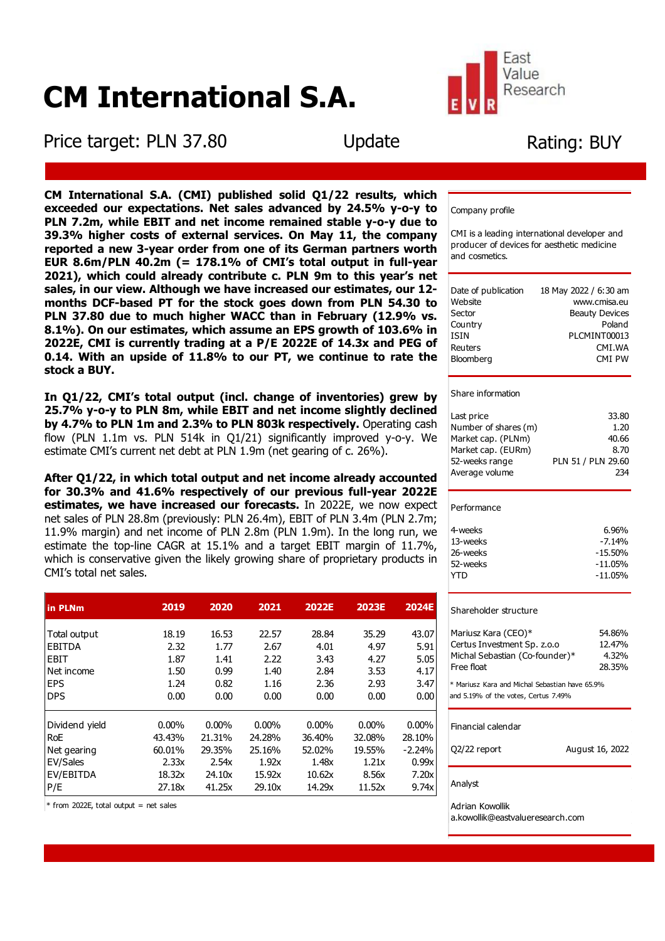# **CM International S.A.**

ī

Price target: PLN 37.80 Update

Fast Value Research

# Rating: BUY

ī

Company profile

CMI is a leading international developer and producer of devices for aesthetic medicine and cosmetics.

| Date of publication | 18 May 2022 / 6:30 am |
|---------------------|-----------------------|
| Website             | www.cmisa.eu          |
| Sector              | <b>Beauty Devices</b> |
| Country             | Poland                |
| ISIN                | PLCMINT00013          |
| Reuters             | CMT.WA                |
| Bloomberg           | CMT PW                |
|                     |                       |

#### Share information

| Last price           | 33.80              |
|----------------------|--------------------|
| Number of shares (m) | 1.20               |
| Market cap. (PLNm)   | 40.66              |
| Market cap. (EURm)   | 8.70               |
| 52-weeks range       | PLN 51 / PLN 29.60 |
| Average volume       | 234                |
|                      |                    |

#### Performance

| 4-weeks  | 6.96%      |
|----------|------------|
| 13-weeks | $-7.14%$   |
| 26-weeks | $-15.50%$  |
| 52-weeks | $-11.05\%$ |
| YTD      | $-11.05\%$ |
|          |            |

#### Shareholder structure

| Mariusz Kara (CEO)*<br>Certus Investment Sp. z.o.o<br>Michal Sebastian (Co-founder)*<br>Free float | 54.86%<br>12.47%<br>4.32%<br>28.35% |  |  |  |  |  |
|----------------------------------------------------------------------------------------------------|-------------------------------------|--|--|--|--|--|
| * Mariusz Kara and Michal Sebastian have 65.9%<br>and 5.19% of the votes, Certus 7.49%             |                                     |  |  |  |  |  |
| Financial calendar                                                                                 |                                     |  |  |  |  |  |

### Q2/22 report August 16, 2022

Analyst

Adrian Kowollik

a.kowollik@eastvalueresearch.com

**CM International S.A. (CMI) published solid Q1/22 results, which exceeded our expectations. Net sales advanced by 24.5% y-o-y to PLN 7.2m, while EBIT and net income remained stable y-o-y due to 39.3% higher costs of external services. On May 11, the company reported a new 3-year order from one of its German partners worth EUR 8.6m/PLN 40.2m (= 178.1% of CMI's total output in full-year 2021), which could already contribute c. PLN 9m to this year's net sales, in our view. Although we have increased our estimates, our 12 months DCF-based PT for the stock goes down from PLN 54.30 to PLN 37.80 due to much higher WACC than in February (12.9% vs. 8.1%). On our estimates, which assume an EPS growth of 103.6% in 2022E, CMI is currently trading at a P/E 2022E of 14.3x and PEG of 0.14. With an upside of 11.8% to our PT, we continue to rate the stock a BUY.**

**In Q1/22, CMI's total output (incl. change of inventories) grew by 25.7% y-o-y to PLN 8m, while EBIT and net income slightly declined by 4.7% to PLN 1m and 2.3% to PLN 803k respectively.** Operating cash flow (PLN 1.1m vs. PLN 514k in Q1/21) significantly improved y-o-y. We estimate CMI's current net debt at PLN 1.9m (net gearing of c. 26%).

**After Q1/22, in which total output and net income already accounted for 30.3% and 41.6% respectively of our previous full-year 2022E estimates, we have increased our forecasts.** In 2022E, we now expect net sales of PLN 28.8m (previously: PLN 26.4m), EBIT of PLN 3.4m (PLN 2.7m; 11.9% margin) and net income of PLN 2.8m (PLN 1.9m). In the long run, we estimate the top-line CAGR at 15.1% and a target EBIT margin of 11.7%, which is conservative given the likely growing share of proprietary products in CMI's total net sales.

| in PLNm        | 2019   | 2020     | 2021     | 2022E    | <b>2023E</b> | <b>2024E</b> |
|----------------|--------|----------|----------|----------|--------------|--------------|
|                |        |          |          |          |              |              |
| Total output   | 18.19  | 16.53    | 22.57    | 28.84    | 35.29        | 43.07        |
| <b>EBITDA</b>  | 2.32   | 1.77     | 2.67     | 4.01     | 4.97         | 5.91         |
| EBIT           | 1.87   | 1.41     | 2.22     | 3.43     | 4.27         | 5.05         |
| Net income     | 1.50   | 0.99     | 1.40     | 2.84     | 3.53         | 4.17         |
| <b>EPS</b>     | 1.24   | 0.82     | 1.16     | 2.36     | 2.93         | 3.47         |
| <b>DPS</b>     | 0.00   | 0.00     | 0.00     | 0.00     | 0.00         | 0.00         |
|                |        |          |          |          |              |              |
| Dividend yield | 0.00%  | $0.00\%$ | $0.00\%$ | $0.00\%$ | $0.00\%$     | $0.00\%$     |
| <b>RoE</b>     | 43.43% | 21.31%   | 24.28%   | 36.40%   | 32.08%       | 28.10%       |
| Net gearing    | 60.01% | 29.35%   | 25.16%   | 52.02%   | 19.55%       | $-2.24%$     |
| EV/Sales       | 2.33x  | 2.54x    | 1.92x    | 1.48x    | 1.21x        | 0.99x        |
| EV/EBITDA      | 18.32x | 24.10x   | 15.92x   | 10.62x   | 8.56x        | 7.20x        |
| P/E            | 27.18x | 41.25x   | 29.10x   | 14.29x   | 11.52x       | 9.74x        |

 $*$  from 2022E, total output = net sales

ı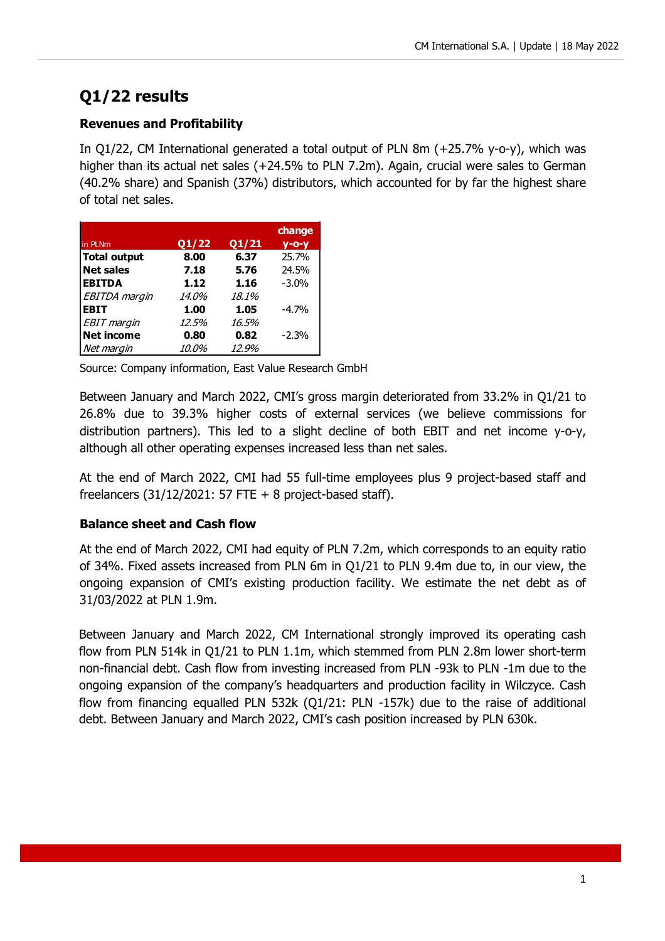## **Q1/22 results**

## **Revenues and Profitability**

In Q1/22, CM International generated a total output of PLN 8m (+25.7% y-o-y), which was higher than its actual net sales (+24.5% to PLN 7.2m). Again, crucial were sales to German (40.2% share) and Spanish (37%) distributors, which accounted for by far the highest share of total net sales.

|                      |              |       | change      |
|----------------------|--------------|-------|-------------|
| in PLNm              | Q1/22        | Q1/21 | $V - O - V$ |
| <b>Total output</b>  | 8.00         | 6.37  | 25.7%       |
| <b>Net sales</b>     | 7.18         | 5.76  | 24.5%       |
| <b>EBITDA</b>        | 1.12         | 1.16  | $-3.0%$     |
| <b>EBITDA</b> margin | <i>14.0%</i> | 18.1% |             |
| <b>EBIT</b>          | 1.00         | 1.05  | $-4.7%$     |
| <b>EBIT</b> margin   | 12.5%        | 16.5% |             |
| <b>Net income</b>    | 0.80         | 0.82  | $-2.3%$     |
| Net margin           | <i>10.0%</i> | 12.9% |             |

Source: Company information, East Value Research GmbH

Between January and March 2022, CMI's gross margin deteriorated from 33.2% in Q1/21 to 26.8% due to 39.3% higher costs of external services (we believe commissions for distribution partners). This led to a slight decline of both EBIT and net income y-o-y, although all other operating expenses increased less than net sales.

At the end of March 2022, CMI had 55 full-time employees plus 9 project-based staff and freelancers  $(31/12/2021: 57$  FTE + 8 project-based staff).

## **Balance sheet and Cash flow**

At the end of March 2022, CMI had equity of PLN 7.2m, which corresponds to an equity ratio of 34%. Fixed assets increased from PLN 6m in Q1/21 to PLN 9.4m due to, in our view, the ongoing expansion of CMI's existing production facility. We estimate the net debt as of 31/03/2022 at PLN 1.9m.

Between January and March 2022, CM International strongly improved its operating cash flow from PLN 514k in Q1/21 to PLN 1.1m, which stemmed from PLN 2.8m lower short-term non-financial debt. Cash flow from investing increased from PLN -93k to PLN -1m due to the ongoing expansion of the company's headquarters and production facility in Wilczyce. Cash flow from financing equalled PLN 532k (Q1/21: PLN -157k) due to the raise of additional debt. Between January and March 2022, CMI's cash position increased by PLN 630k.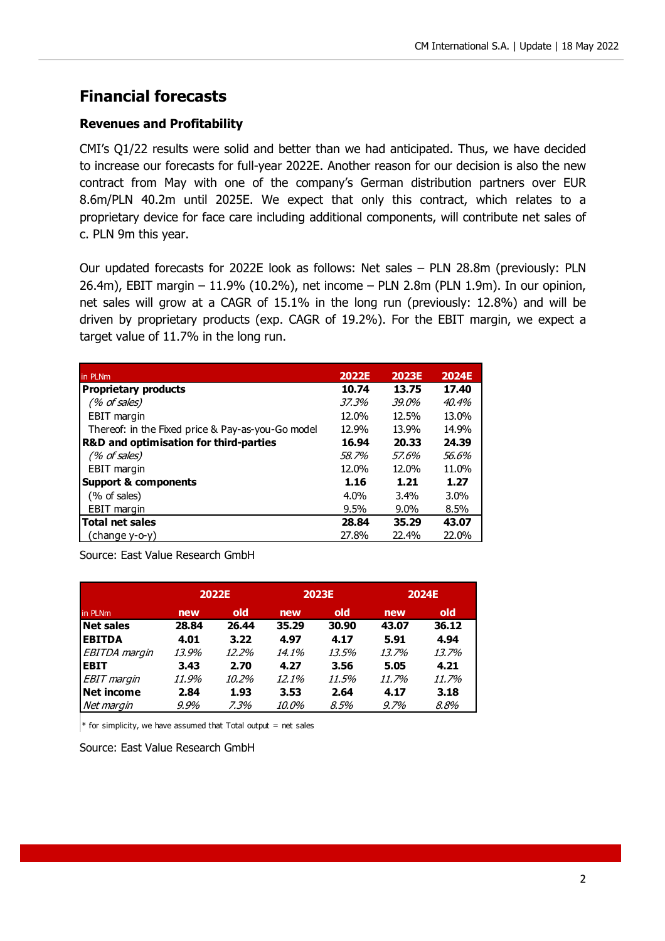## **Financial forecasts**

#### **Revenues and Profitability**

CMI's Q1/22 results were solid and better than we had anticipated. Thus, we have decided to increase our forecasts for full-year 2022E. Another reason for our decision is also the new contract from May with one of the company's German distribution partners over EUR 8.6m/PLN 40.2m until 2025E. We expect that only this contract, which relates to a proprietary device for face care including additional components, will contribute net sales of c. PLN 9m this year.

Our updated forecasts for 2022E look as follows: Net sales – PLN 28.8m (previously: PLN 26.4m), EBIT margin – 11.9% (10.2%), net income – PLN 2.8m (PLN 1.9m). In our opinion, net sales will grow at a CAGR of 15.1% in the long run (previously: 12.8%) and will be driven by proprietary products (exp. CAGR of 19.2%). For the EBIT margin, we expect a target value of 11.7% in the long run.

| in PLNm                                           | 2022E | <b>2023E</b> | <b>2024E</b> |
|---------------------------------------------------|-------|--------------|--------------|
| <b>Proprietary products</b>                       | 10.74 | 13.75        | 17.40        |
| (% of sales)                                      | 37.3% | $.39.0\%$    | 40.4%        |
| <b>EBIT</b> margin                                | 12.0% | 12.5%        | 13.0%        |
| Thereof: in the Fixed price & Pay-as-you-Go model | 12.9% | 13.9%        | 14.9%        |
| <b>R&amp;D and optimisation for third-parties</b> | 16.94 | 20.33        | 24.39        |
| (% of sales)                                      | 58.7% | 57.6%        | 56.6%        |
| <b>EBIT</b> margin                                | 12.0% | 12.0%        | 11.0%        |
| <b>Support &amp; components</b>                   | 1.16  | 1.21         | 1.27         |
| (% of sales)                                      | 4.0%  | 3.4%         | $3.0\%$      |
| EBIT margin                                       | 9.5%  | $9.0\%$      | 8.5%         |
| <b>Total net sales</b>                            | 28.84 | 35.29        | 43.07        |
| change y-o-y)                                     | 27.8% | 22.4%        | 22.0%        |

Source: East Value Research GmbH

|                    |       | 2022E | <b>2023E</b> |       | 2024E   |       |  |
|--------------------|-------|-------|--------------|-------|---------|-------|--|
| in PLNm            | new   | old   | new          | old   | new     | old   |  |
| <b>Net sales</b>   | 28.84 | 26.44 | 35.29        | 30.90 | 43.07   | 36.12 |  |
| <b>EBITDA</b>      | 4.01  | 3.22  | 4.97         | 4.17  | 5.91    | 4.94  |  |
| EBITDA margin      | 13.9% | 12.2% | 14.1%        | 13.5% | 13.7%   | 13.7% |  |
| <b>EBIT</b>        | 3.43  | 2.70  | 4.27         | 3.56  | 5.05    | 4.21  |  |
| <b>EBIT</b> margin | 11.9% | 10.2% | 12.1%        | 11.5% | 11.7%   | 11.7% |  |
| <b>Net income</b>  | 2.84  | 1.93  | 3.53         | 2.64  | 4.17    | 3.18  |  |
| Net margin         | 9.9%  | 7.3%  | <i>10.0%</i> | 8.5%  | $9.7\%$ | 8.8%  |  |

 $*$  for simplicity, we have assumed that Total output = net sales

Source: East Value Research GmbH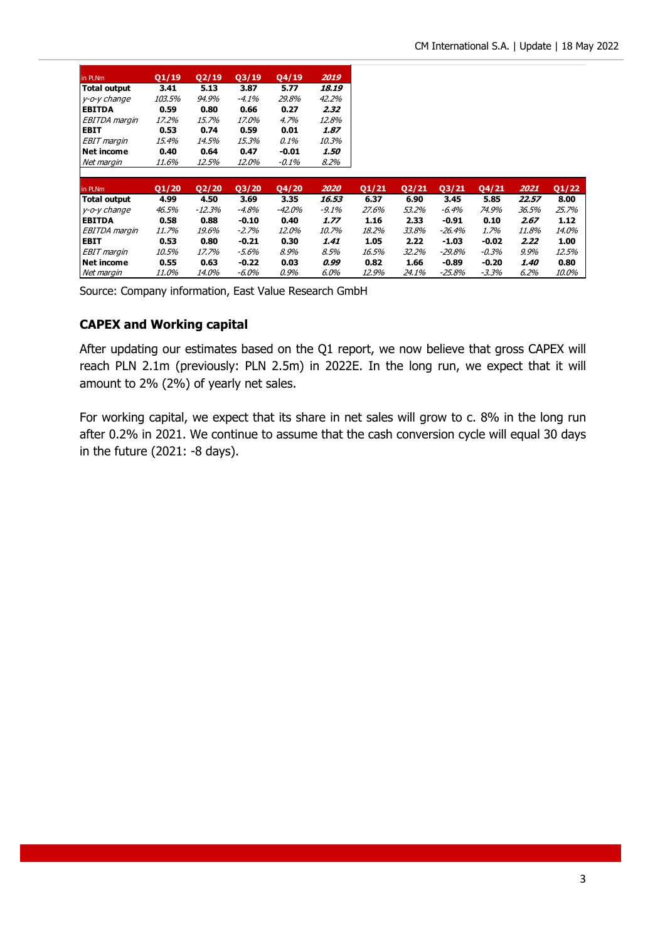| in PLNm           | 01/19        | Q2/19  | 03/19   | 04/19        | 2019     |       |       |         |          |       |       |
|-------------------|--------------|--------|---------|--------------|----------|-------|-------|---------|----------|-------|-------|
| Total output      | 3.41         | 5.13   | 3.87    | 5.77         | 18.19    |       |       |         |          |       |       |
| y-o-y change      | 103.5%       | 94.9%  | -4.1%   | 29.8%        | 42.2%    |       |       |         |          |       |       |
| <b>EBITDA</b>     | 0.59         | 0.80   | 0.66    | 0.27         | 2.32     |       |       |         |          |       |       |
| EBITDA margin     | 17.2%        | 15.7%  | 17.0%   | 4.7%         | 12.8%    |       |       |         |          |       |       |
| <b>EBIT</b>       | 0.53         | 0.74   | 0.59    | 0.01         | 1.87     |       |       |         |          |       |       |
| EBIT margin       | 15.4%        | 14.5%  | 15.3%   | 0.1%         | 10.3%    |       |       |         |          |       |       |
| <b>Net income</b> | 0.40         | 0.64   | 0.47    | -0.01        | 1.50     |       |       |         |          |       |       |
| Net margin        | 11.6%        | 12.5%  | 12.0%   | -0.1%        | 8.2%     |       |       |         |          |       |       |
|                   |              |        |         |              |          |       |       |         |          |       |       |
| in PLNm           | Q1/20        | Q2/20  | Q3/20   | Q4/20        | 2020     | Q1/21 | Q2/21 | Q3/21   | Q4/21    | 2021  | Q1/22 |
| Total output      | 4.99         | 4.50   | 3.69    | 3.35         | 16.53    | 6.37  | 6.90  | 3.45    | 5.85     | 22.57 | 8.00  |
| y-o-y change      | 46.5%        | -12.3% | -4.8%   | -42.0%       | $-9.1\%$ | 27.6% | 53.2% | $-6.4%$ | 74.9%    | 36.5% | 25.7% |
| <b>EBITDA</b>     | 0.58         | 0.88   | $-0.10$ | 0.40         | 1.77     | 1.16  | 2.33  | $-0.91$ | 0.10     | 2.67  | 1.12  |
| EBITDA margin     | 11.7%        | 19.6%  | $-2.7%$ | <i>12.0%</i> | 10.7%    | 18.2% | 33.8% | -26.4%  | 1.7%     | 11.8% | 14.0% |
| <b>EBIT</b>       | 0.53         | 0.80   | $-0.21$ | 0.30         | 1.41     | 1.05  | 2.22  | $-1.03$ | $-0.02$  | 2.22  | 1.00  |
| EBIT margin       | 10.5%        | 17.7%  | -5.6%   | 8.9%         | 8.5%     | 16.5% | 32.2% | -29.8%  | $-0.3\%$ | 9.9%  | 12.5% |
| <b>Net income</b> | 0.55         | 0.63   | $-0.22$ | 0.03         | 0.99     | 0.82  | 1.66  | $-0.89$ | $-0.20$  | 1.40  | 0.80  |
| Net margin        | <i>11.0%</i> | 14.0%  | -6.0%   | 0.9%         | 6.0%     | 12.9% | 24.1% | -25.8%  | $-3.3%$  | 6.2%  | 10.0% |

Source: Company information, East Value Research GmbH

#### **CAPEX and Working capital**

After updating our estimates based on the Q1 report, we now believe that gross CAPEX will reach PLN 2.1m (previously: PLN 2.5m) in 2022E. In the long run, we expect that it will amount to 2% (2%) of yearly net sales.

For working capital, we expect that its share in net sales will grow to c. 8% in the long run after 0.2% in 2021. We continue to assume that the cash conversion cycle will equal 30 days in the future (2021: -8 days).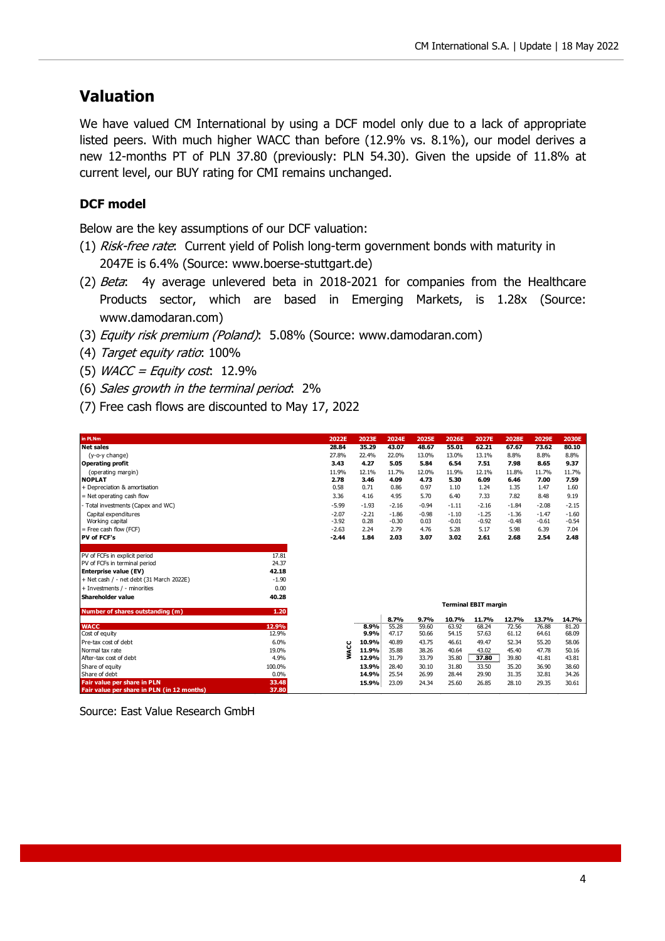## **Valuation**

We have valued CM International by using a DCF model only due to a lack of appropriate listed peers. With much higher WACC than before (12.9% vs. 8.1%), our model derives a new 12-months PT of PLN 37.80 (previously: PLN 54.30). Given the upside of 11.8% at current level, our BUY rating for CMI remains unchanged.

### **DCF model**

Below are the key assumptions of our DCF valuation:

- (1) Risk-free rate: Current yield of Polish long-term government bonds with maturity in 2047E is 6.4% (Source: www.boerse-stuttgart.de)
- (2) Beta: 4y average unlevered beta in 2018-2021 for companies from the Healthcare Products sector, which are based in Emerging Markets, is 1.28x (Source: www.damodaran.com)
- (3) Equity risk premium (Poland): 5.08% (Source: www.damodaran.com)
- (4) Target equity ratio: 100%
- (5) *WACC = Equity cost*:  $12.9\%$
- (6) Sales growth in the terminal period: 2%
- (7) Free cash flows are discounted to May 17, 2022

| in PLNm                                    |         | 2022E       | 2023E   | 2024E         | 2025E         | 2026E          | 2027E                       | 2028E          | 2029E          | <b>2030E</b>   |
|--------------------------------------------|---------|-------------|---------|---------------|---------------|----------------|-----------------------------|----------------|----------------|----------------|
| <b>Net sales</b>                           |         | 28.84       | 35.29   | 43.07         | 48.67         | 55.01          | 62.21                       | 67.67          | 73.62          | 80.10          |
| (y-o-y change)                             |         | 27.8%       | 22.4%   | 22.0%         | 13.0%         | 13.0%          | 13.1%                       | 8.8%           | 8.8%           | 8.8%           |
| <b>Operating profit</b>                    |         | 3.43        | 4.27    | 5.05          | 5.84          | 6.54           | 7.51                        | 7.98           | 8.65           | 9.37           |
| (operating margin)                         |         | 11.9%       | 12.1%   | 11.7%         | 12.0%         | 11.9%          | 12.1%                       | 11.8%          | 11.7%          | 11.7%          |
| <b>NOPLAT</b>                              |         | 2.78        | 3.46    | 4.09          | 4.73          | 5.30           | 6.09                        | 6.46           | 7.00           | 7.59           |
| + Depreciation & amortisation              |         | 0.58        | 0.71    | 0.86          | 0.97          | 1.10           | 1.24                        | 1.35           | 1.47           | 1.60           |
| = Net operating cash flow                  |         | 3.36        | 4.16    | 4.95          | 5.70          | 6.40           | 7.33                        | 7.82           | 8.48           | 9.19           |
| - Total investments (Capex and WC)         |         | $-5.99$     | $-1.93$ | $-2.16$       | $-0.94$       | $-1.11$        | $-2.16$                     | $-1.84$        | $-2.08$        | $-2.15$        |
| Capital expenditures                       |         | $-2.07$     | $-2.21$ | $-1.86$       | $-0.98$       | $-1.10$        | $-1.25$                     | $-1.36$        | $-1.47$        | $-1.60$        |
| Working capital                            |         | $-3.92$     | 0.28    | $-0.30$       | 0.03          | $-0.01$        | $-0.92$                     | $-0.48$        | $-0.61$        | $-0.54$        |
| $=$ Free cash flow (FCF)                   |         | $-2.63$     | 2.24    | 2.79          | 4.76          | 5.28           | 5.17                        | 5.98           | 6.39           | 7.04           |
| PV of FCF's                                |         | $-2.44$     | 1.84    | 2.03          | 3.07          | 3.02           | 2.61                        | 2.68           | 2.54           | 2.48           |
|                                            |         |             |         |               |               |                |                             |                |                |                |
| PV of FCFs in explicit period              | 17.81   |             |         |               |               |                |                             |                |                |                |
| PV of FCFs in terminal period              | 24.37   |             |         |               |               |                |                             |                |                |                |
| <b>Enterprise value (EV)</b>               | 42.18   |             |         |               |               |                |                             |                |                |                |
| + Net cash / - net debt (31 March 2022E)   | $-1.90$ |             |         |               |               |                |                             |                |                |                |
| + Investments / - minorities               | 0.00    |             |         |               |               |                |                             |                |                |                |
| Shareholder value                          | 40.28   |             |         |               |               |                |                             |                |                |                |
|                                            |         |             |         |               |               |                | <b>Terminal EBIT margin</b> |                |                |                |
| Number of shares outstanding (m)           | 1.20    |             |         |               |               |                |                             |                |                |                |
| <b>WACC</b>                                | 12.9%   |             | 8.9%    | 8.7%<br>55.28 | 9.7%<br>59.60 | 10.7%<br>63.92 | 11.7%<br>68.24              | 12.7%          | 13.7%<br>76.88 | 14.7%<br>81.20 |
| Cost of equity                             | 12.9%   |             | 9.9%    | 47.17         | 50.66         | 54.15          | 57.63                       | 72.56<br>61.12 | 64.61          | 68.09          |
| Pre-tax cost of debt                       | 6.0%    |             | 10.9%   | 40.89         | 43.75         | 46.61          | 49.47                       | 52.34          | 55.20          | 58.06          |
| Normal tax rate                            | 19.0%   | <b>WACC</b> | 11.9%   | 35.88         | 38.26         | 40.64          | 43.02                       | 45.40          | 47.78          | 50.16          |
| After-tax cost of debt                     | 4.9%    |             | 12.9%   | 31.79         | 33.79         | 35.80          | 37.80                       | 39.80          | 41.81          | 43.81          |
| Share of equity                            | 100.0%  |             | 13.9%   | 28.40         | 30.10         | 31.80          | 33.50                       | 35.20          | 36.90          | 38.60          |
| Share of debt                              | 0.0%    |             | 14.9%   | 25.54         | 26.99         | 28.44          | 29.90                       | 31.35          | 32.81          | 34.26          |
| <b>Fair value per share in PLN</b>         | 33.48   |             | 15.9%   | 23.09         | 24.34         | 25.60          | 26.85                       | 28.10          | 29.35          | 30.61          |
| Fair value per share in PLN (in 12 months) | 37.80   |             |         |               |               |                |                             |                |                |                |

Source: East Value Research GmbH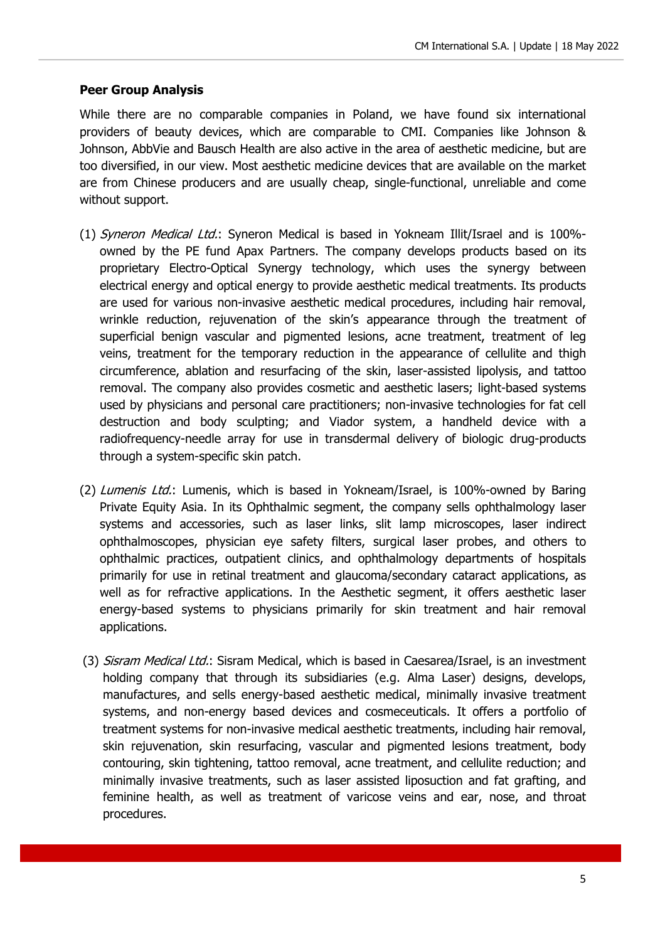#### **Peer Group Analysis**

While there are no comparable companies in Poland, we have found six international providers of beauty devices, which are comparable to CMI. Companies like Johnson & Johnson, AbbVie and Bausch Health are also active in the area of aesthetic medicine, but are too diversified, in our view. Most aesthetic medicine devices that are available on the market are from Chinese producers and are usually cheap, single-functional, unreliable and come without support.

- (1) Syneron Medical Ltd.: Syneron Medical is based in Yokneam Illit/Israel and is 100% owned by the PE fund Apax Partners. The company develops products based on its proprietary Electro-Optical Synergy technology, which uses the synergy between electrical energy and optical energy to provide aesthetic medical treatments. Its products are used for various non-invasive aesthetic medical procedures, including hair removal, wrinkle reduction, rejuvenation of the skin's appearance through the treatment of superficial benign vascular and pigmented lesions, acne treatment, treatment of leg veins, treatment for the temporary reduction in the appearance of cellulite and thigh circumference, ablation and resurfacing of the skin, laser-assisted lipolysis, and tattoo removal. The company also provides cosmetic and aesthetic lasers; light-based systems used by physicians and personal care practitioners; non-invasive technologies for fat cell destruction and body sculpting; and Viador system, a handheld device with a radiofrequency-needle array for use in transdermal delivery of biologic drug-products through a system-specific skin patch.
- (2) Lumenis Ltd.: Lumenis, which is based in Yokneam/Israel, is 100%-owned by Baring Private Equity Asia. In its Ophthalmic segment, the company sells ophthalmology laser systems and accessories, such as laser links, slit lamp microscopes, laser indirect ophthalmoscopes, physician eye safety filters, surgical laser probes, and others to ophthalmic practices, outpatient clinics, and ophthalmology departments of hospitals primarily for use in retinal treatment and glaucoma/secondary cataract applications, as well as for refractive applications. In the Aesthetic segment, it offers aesthetic laser energy-based systems to physicians primarily for skin treatment and hair removal applications.
- (3) *Sisram Medical Ltd.*: Sisram Medical, which is based in Caesarea/Israel, is an investment holding company that through its subsidiaries (e.g. Alma Laser) designs, develops, manufactures, and sells energy-based aesthetic medical, minimally invasive treatment systems, and non-energy based devices and cosmeceuticals. It offers a portfolio of treatment systems for non-invasive medical aesthetic treatments, including hair removal, skin rejuvenation, skin resurfacing, vascular and pigmented lesions treatment, body contouring, skin tightening, tattoo removal, acne treatment, and cellulite reduction; and minimally invasive treatments, such as laser assisted liposuction and fat grafting, and feminine health, as well as treatment of varicose veins and ear, nose, and throat procedures.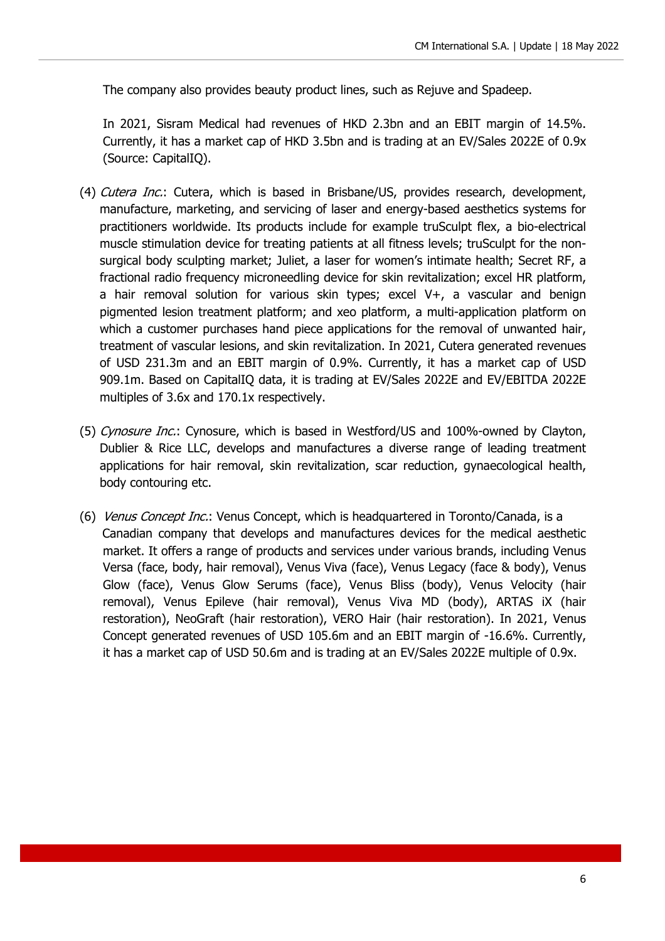The company also provides beauty product lines, such as Rejuve and Spadeep.

In 2021, Sisram Medical had revenues of HKD 2.3bn and an EBIT margin of 14.5%. Currently, it has a market cap of HKD 3.5bn and is trading at an EV/Sales 2022E of 0.9x (Source: CapitalIQ).

- (4) Cutera Inc.: Cutera, which is based in Brisbane/US, provides research, development, manufacture, marketing, and servicing of laser and energy-based aesthetics systems for practitioners worldwide. Its products include for example truSculpt flex, a bio-electrical muscle stimulation device for treating patients at all fitness levels; truSculpt for the nonsurgical body sculpting market; Juliet, a laser for women's intimate health; Secret RF, a fractional radio frequency microneedling device for skin revitalization; excel HR platform, a hair removal solution for various skin types; excel V+, a vascular and benign pigmented lesion treatment platform; and xeo platform, a multi-application platform on which a customer purchases hand piece applications for the removal of unwanted hair, treatment of vascular lesions, and skin revitalization. In 2021, Cutera generated revenues of USD 231.3m and an EBIT margin of 0.9%. Currently, it has a market cap of USD 909.1m. Based on CapitalIQ data, it is trading at EV/Sales 2022E and EV/EBITDA 2022E multiples of 3.6x and 170.1x respectively.
- (5) Cynosure Inc.: Cynosure, which is based in Westford/US and 100%-owned by Clayton, Dublier & Rice LLC, develops and manufactures a diverse range of leading treatment applications for hair removal, skin revitalization, scar reduction, gynaecological health, body contouring etc.
- (6) Venus Concept Inc.: Venus Concept, which is headquartered in Toronto/Canada, is a Canadian company that develops and manufactures devices for the medical aesthetic market. It offers a range of products and services under various brands, including Venus Versa (face, body, hair removal), Venus Viva (face), Venus Legacy (face & body), Venus Glow (face), Venus Glow Serums (face), Venus Bliss (body), Venus Velocity (hair removal), Venus Epileve (hair removal), Venus Viva MD (body), ARTAS iX (hair restoration), NeoGraft (hair restoration), VERO Hair (hair restoration). In 2021, Venus Concept generated revenues of USD 105.6m and an EBIT margin of -16.6%. Currently, it has a market cap of USD 50.6m and is trading at an EV/Sales 2022E multiple of 0.9x.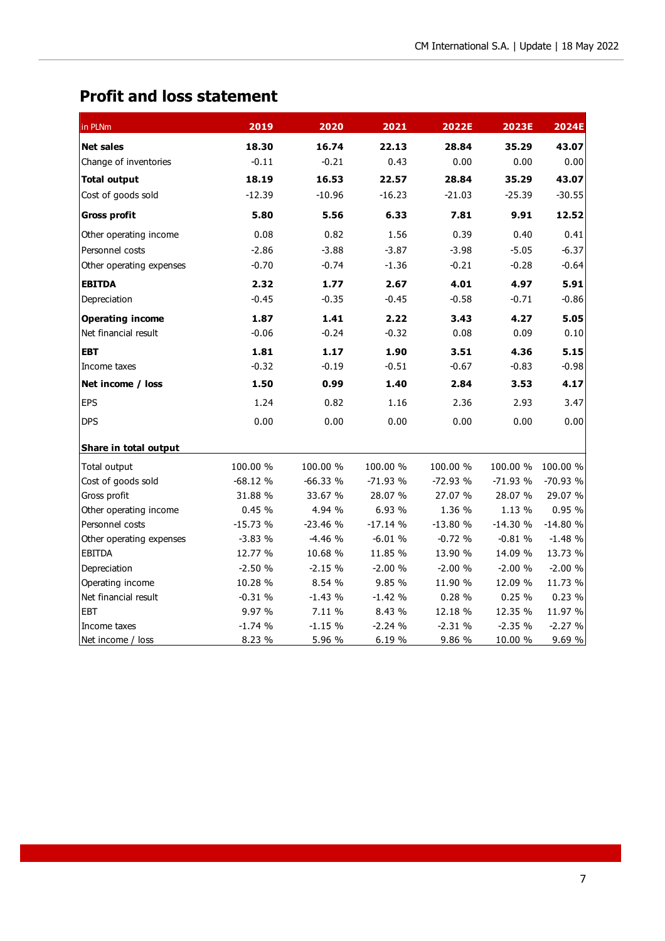# **Profit and loss statement**

| in PLNm                  | 2019      | 2020      | 2021      | 2022E     | 2023E     | 2024E     |
|--------------------------|-----------|-----------|-----------|-----------|-----------|-----------|
| <b>Net sales</b>         | 18.30     | 16.74     | 22.13     | 28.84     | 35.29     | 43.07     |
| Change of inventories    | $-0.11$   | $-0.21$   | 0.43      | 0.00      | 0.00      | 0.00      |
| <b>Total output</b>      | 18.19     | 16.53     | 22.57     | 28.84     | 35.29     | 43.07     |
| Cost of goods sold       | $-12.39$  | $-10.96$  | $-16.23$  | $-21.03$  | $-25.39$  | $-30.55$  |
| <b>Gross profit</b>      | 5.80      | 5.56      | 6.33      | 7.81      | 9.91      | 12.52     |
| Other operating income   | 0.08      | 0.82      | 1.56      | 0.39      | 0.40      | 0.41      |
| Personnel costs          | $-2.86$   | $-3.88$   | $-3.87$   | $-3.98$   | $-5.05$   | $-6.37$   |
| Other operating expenses | $-0.70$   | $-0.74$   | $-1.36$   | $-0.21$   | $-0.28$   | $-0.64$   |
| <b>EBITDA</b>            | 2.32      | 1.77      | 2.67      | 4.01      | 4.97      | 5.91      |
| Depreciation             | $-0.45$   | $-0.35$   | $-0.45$   | $-0.58$   | $-0.71$   | $-0.86$   |
| <b>Operating income</b>  | 1.87      | 1.41      | 2.22      | 3.43      | 4.27      | 5.05      |
| Net financial result     | $-0.06$   | $-0.24$   | $-0.32$   | 0.08      | 0.09      | 0.10      |
| <b>EBT</b>               | 1.81      | 1.17      | 1.90      | 3.51      | 4.36      | 5.15      |
| Income taxes             | $-0.32$   | $-0.19$   | $-0.51$   | $-0.67$   | $-0.83$   | $-0.98$   |
| Net income / loss        | 1.50      | 0.99      | 1.40      | 2.84      | 3.53      | 4.17      |
| <b>EPS</b>               | 1.24      | 0.82      | 1.16      | 2.36      | 2.93      | 3.47      |
| <b>DPS</b>               | 0.00      | 0.00      | 0.00      | 0.00      | 0.00      | 0.00      |
| Share in total output    |           |           |           |           |           |           |
| Total output             | 100.00 %  | 100.00 %  | 100.00 %  | 100.00 %  | 100.00 %  | 100.00 %  |
| Cost of goods sold       | $-68.12%$ | $-66.33%$ | $-71.93%$ | $-72.93%$ | $-71.93%$ | -70.93 %  |
| Gross profit             | 31.88 %   | 33.67 %   | 28.07 %   | 27.07 %   | 28.07 %   | 29.07 %   |
| Other operating income   | 0.45%     | 4.94 %    | 6.93 %    | 1.36 %    | 1.13 %    | 0.95 %    |
| Personnel costs          | $-15.73%$ | $-23.46%$ | $-17.14%$ | $-13.80%$ | $-14.30%$ | $-14.80%$ |
| Other operating expenses | $-3.83%$  | $-4.46%$  | $-6.01%$  | $-0.72%$  | $-0.81%$  | $-1.48%$  |
| <b>EBITDA</b>            | 12.77 %   | 10.68 %   | 11.85 %   | 13.90 %   | 14.09 %   | 13.73 %   |
| Depreciation             | $-2.50%$  | $-2.15%$  | $-2.00%$  | $-2.00%$  | $-2.00%$  | $-2.00%$  |
| Operating income         | 10.28 %   | 8.54 %    | 9.85 %    | 11.90 %   | 12.09 %   | 11.73 %   |
| Net financial result     | $-0.31%$  | $-1.43%$  | $-1.42%$  | 0.28%     | 0.25%     | 0.23%     |
| <b>EBT</b>               | 9.97 %    | 7.11 %    | 8.43 %    | 12.18 %   | 12.35 %   | 11.97 %   |
| Income taxes             | $-1.74%$  | $-1.15%$  | $-2.24%$  | $-2.31%$  | $-2.35%$  | $-2.27%$  |
| Net income / loss        | 8.23 %    | 5.96 %    | 6.19 %    | 9.86 %    | 10.00 %   | 9.69 %    |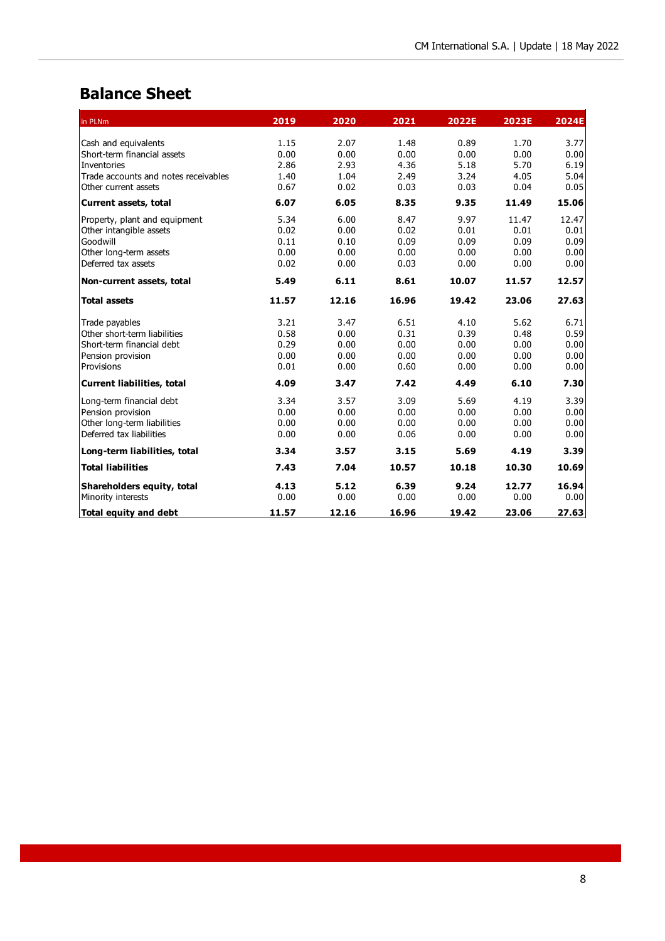## **Balance Sheet**

| in PLNm                              | 2019  | 2020  | 2021  | 2022E | 2023E | 2024E |
|--------------------------------------|-------|-------|-------|-------|-------|-------|
| Cash and equivalents                 | 1.15  | 2.07  | 1.48  | 0.89  | 1.70  | 3.77  |
| Short-term financial assets          | 0.00  | 0.00  | 0.00  | 0.00  | 0.00  | 0.00  |
| Inventories                          | 2.86  | 2.93  | 4.36  | 5.18  | 5.70  | 6.19  |
| Trade accounts and notes receivables | 1.40  | 1.04  | 2.49  | 3.24  | 4.05  | 5.04  |
| Other current assets                 | 0.67  | 0.02  | 0.03  | 0.03  | 0.04  | 0.05  |
| <b>Current assets, total</b>         | 6.07  | 6.05  | 8.35  | 9.35  | 11.49 | 15.06 |
| Property, plant and equipment        | 5.34  | 6.00  | 8.47  | 9.97  | 11.47 | 12.47 |
| Other intangible assets              | 0.02  | 0.00  | 0.02  | 0.01  | 0.01  | 0.01  |
| Goodwill                             | 0.11  | 0.10  | 0.09  | 0.09  | 0.09  | 0.09  |
| Other long-term assets               | 0.00  | 0.00  | 0.00  | 0.00  | 0.00  | 0.00  |
| Deferred tax assets                  | 0.02  | 0.00  | 0.03  | 0.00  | 0.00  | 0.00  |
| Non-current assets, total            | 5.49  | 6.11  | 8.61  | 10.07 | 11.57 | 12.57 |
| <b>Total assets</b>                  | 11.57 | 12.16 | 16.96 | 19.42 | 23.06 | 27.63 |
| Trade payables                       | 3.21  | 3.47  | 6.51  | 4.10  | 5.62  | 6.71  |
| Other short-term liabilities         | 0.58  | 0.00  | 0.31  | 0.39  | 0.48  | 0.59  |
| Short-term financial debt            | 0.29  | 0.00  | 0.00  | 0.00  | 0.00  | 0.00  |
| Pension provision                    | 0.00  | 0.00  | 0.00  | 0.00  | 0.00  | 0.00  |
| Provisions                           | 0.01  | 0.00  | 0.60  | 0.00  | 0.00  | 0.00  |
| Current liabilities, total           | 4.09  | 3.47  | 7.42  | 4.49  | 6.10  | 7.30  |
| Long-term financial debt             | 3.34  | 3.57  | 3.09  | 5.69  | 4.19  | 3.39  |
| Pension provision                    | 0.00  | 0.00  | 0.00  | 0.00  | 0.00  | 0.00  |
| Other long-term liabilities          | 0.00  | 0.00  | 0.00  | 0.00  | 0.00  | 0.00  |
| Deferred tax liabilities             | 0.00  | 0.00  | 0.06  | 0.00  | 0.00  | 0.00  |
| Long-term liabilities, total         | 3.34  | 3.57  | 3.15  | 5.69  | 4.19  | 3.39  |
| <b>Total liabilities</b>             | 7.43  | 7.04  | 10.57 | 10.18 | 10.30 | 10.69 |
| Shareholders equity, total           | 4.13  | 5.12  | 6.39  | 9.24  | 12.77 | 16.94 |
| Minority interests                   | 0.00  | 0.00  | 0.00  | 0.00  | 0.00  | 0.00  |
| <b>Total equity and debt</b>         | 11.57 | 12.16 | 16.96 | 19.42 | 23.06 | 27.63 |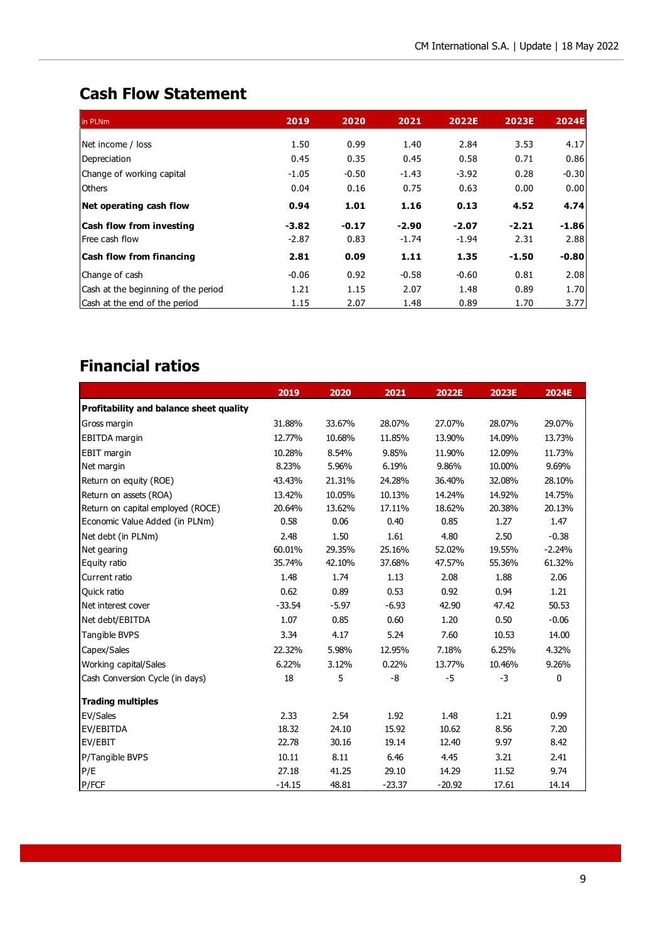## **Cash Flow Statement**

| in PLNm                             | 2019    | 2020    | 2021    | 2022E   | <b>2023E</b> | <b>2024E</b> |
|-------------------------------------|---------|---------|---------|---------|--------------|--------------|
| Net income / loss                   | 1.50    | 0.99    | 1.40    | 2.84    | 3.53         | 4.17         |
| Depreciation                        | 0.45    | 0.35    | 0.45    | 0.58    | 0.71         | 0.86         |
| Change of working capital           | $-1.05$ | $-0.50$ | $-1.43$ | $-3.92$ | 0.28         | $-0.30$      |
| <b>Others</b>                       | 0.04    | 0.16    | 0.75    | 0.63    | 0.00         | 0.00         |
| Net operating cash flow             | 0.94    | 1.01    | 1.16    | 0.13    | 4.52         | 4.74         |
| <b>Cash flow from investing</b>     | $-3.82$ | $-0.17$ | $-2.90$ | $-2.07$ | $-2.21$      | $-1.86$      |
| Free cash flow                      | $-2.87$ | 0.83    | $-1.74$ | $-1.94$ | 2.31         | 2.88         |
| <b>Cash flow from financing</b>     | 2.81    | 0.09    | 1.11    | 1.35    | $-1.50$      | $-0.80$      |
| Change of cash                      | $-0.06$ | 0.92    | $-0.58$ | $-0.60$ | 0.81         | 2.08         |
| Cash at the beginning of the period | 1.21    | 1.15    | 2.07    | 1.48    | 0.89         | 1.70         |
| Cash at the end of the period       | 1.15    | 2.07    | 1.48    | 0.89    | 1.70         | 3.77         |

# **Financial ratios**

|                                         | 2019     | 2020    | 2021     | 2022E    | 2023E  | 2024E    |
|-----------------------------------------|----------|---------|----------|----------|--------|----------|
| Profitability and balance sheet quality |          |         |          |          |        |          |
| Gross margin                            | 31.88%   | 33.67%  | 28.07%   | 27.07%   | 28.07% | 29.07%   |
| EBITDA margin                           | 12.77%   | 10.68%  | 11.85%   | 13.90%   | 14.09% | 13.73%   |
| EBIT margin                             | 10.28%   | 8.54%   | 9.85%    | 11.90%   | 12.09% | 11.73%   |
| Net margin                              | 8.23%    | 5.96%   | 6.19%    | 9.86%    | 10.00% | 9.69%    |
| Return on equity (ROE)                  | 43.43%   | 21.31%  | 24.28%   | 36.40%   | 32.08% | 28.10%   |
| Return on assets (ROA)                  | 13.42%   | 10.05%  | 10.13%   | 14.24%   | 14.92% | 14.75%   |
| Return on capital employed (ROCE)       | 20.64%   | 13.62%  | 17.11%   | 18.62%   | 20.38% | 20.13%   |
| Economic Value Added (in PLNm)          | 0.58     | 0.06    | 0.40     | 0.85     | 1.27   | 1.47     |
| Net debt (in PLNm)                      | 2.48     | 1.50    | 1.61     | 4.80     | 2.50   | $-0.38$  |
| Net gearing                             | 60.01%   | 29.35%  | 25.16%   | 52.02%   | 19.55% | $-2.24%$ |
| Equity ratio                            | 35.74%   | 42.10%  | 37.68%   | 47.57%   | 55.36% | 61.32%   |
| Current ratio                           | 1.48     | 1.74    | 1.13     | 2.08     | 1.88   | 2.06     |
| Quick ratio                             | 0.62     | 0.89    | 0.53     | 0.92     | 0.94   | 1.21     |
| Net interest cover                      | $-33.54$ | $-5.97$ | $-6.93$  | 42.90    | 47.42  | 50.53    |
| Net debt/EBITDA                         | 1.07     | 0.85    | 0.60     | 1.20     | 0.50   | $-0.06$  |
| Tangible BVPS                           | 3.34     | 4.17    | 5.24     | 7.60     | 10.53  | 14.00    |
| Capex/Sales                             | 22.32%   | 5.98%   | 12.95%   | 7.18%    | 6.25%  | 4.32%    |
| Working capital/Sales                   | 6.22%    | 3.12%   | 0.22%    | 13.77%   | 10.46% | 9.26%    |
| Cash Conversion Cycle (in days)         | 18       | 5       | $-8$     | $-5$     | $-3$   | 0        |
| <b>Trading multiples</b>                |          |         |          |          |        |          |
| EV/Sales                                | 2.33     | 2.54    | 1.92     | 1.48     | 1.21   | 0.99     |
| EV/EBITDA                               | 18.32    | 24.10   | 15.92    | 10.62    | 8.56   | 7.20     |
| EV/EBIT                                 | 22.78    | 30.16   | 19.14    | 12.40    | 9.97   | 8.42     |
| P/Tangible BVPS                         | 10.11    | 8.11    | 6.46     | 4.45     | 3.21   | 2.41     |
| P/E                                     | 27.18    | 41.25   | 29.10    | 14.29    | 11.52  | 9.74     |
| P/FCF                                   | $-14.15$ | 48.81   | $-23.37$ | $-20.92$ | 17.61  | 14.14    |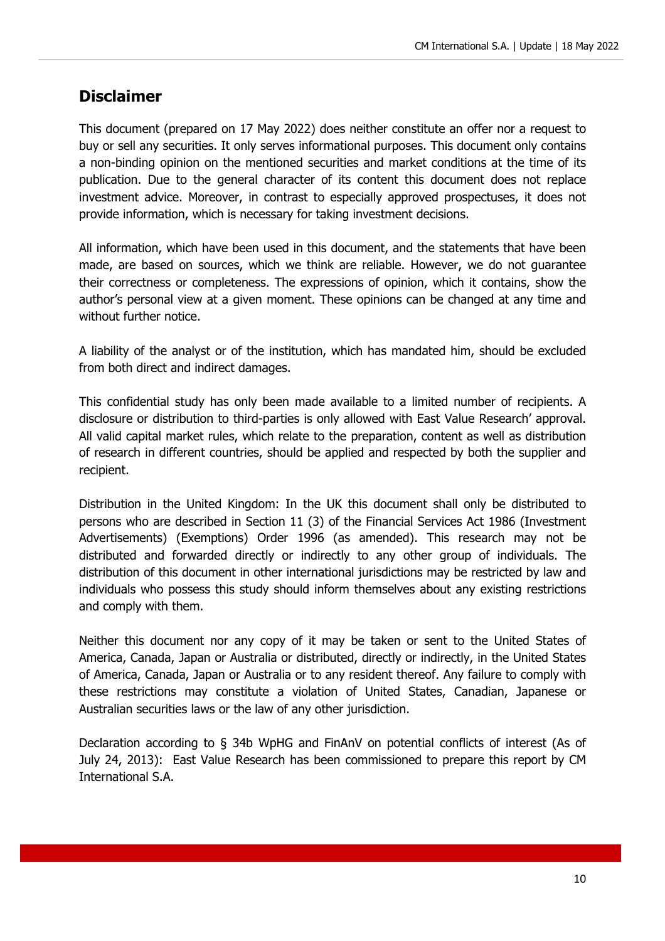## **Disclaimer**

This document (prepared on 17 May 2022) does neither constitute an offer nor a request to buy or sell any securities. It only serves informational purposes. This document only contains a non-binding opinion on the mentioned securities and market conditions at the time of its publication. Due to the general character of its content this document does not replace investment advice. Moreover, in contrast to especially approved prospectuses, it does not provide information, which is necessary for taking investment decisions.

All information, which have been used in this document, and the statements that have been made, are based on sources, which we think are reliable. However, we do not guarantee their correctness or completeness. The expressions of opinion, which it contains, show the author's personal view at a given moment. These opinions can be changed at any time and without further notice.

A liability of the analyst or of the institution, which has mandated him, should be excluded from both direct and indirect damages.

This confidential study has only been made available to a limited number of recipients. A disclosure or distribution to third-parties is only allowed with East Value Research' approval. All valid capital market rules, which relate to the preparation, content as well as distribution of research in different countries, should be applied and respected by both the supplier and recipient.

Distribution in the United Kingdom: In the UK this document shall only be distributed to persons who are described in Section 11 (3) of the Financial Services Act 1986 (Investment Advertisements) (Exemptions) Order 1996 (as amended). This research may not be distributed and forwarded directly or indirectly to any other group of individuals. The distribution of this document in other international jurisdictions may be restricted by law and individuals who possess this study should inform themselves about any existing restrictions and comply with them.

Neither this document nor any copy of it may be taken or sent to the United States of America, Canada, Japan or Australia or distributed, directly or indirectly, in the United States of America, Canada, Japan or Australia or to any resident thereof. Any failure to comply with these restrictions may constitute a violation of United States, Canadian, Japanese or Australian securities laws or the law of any other jurisdiction.

Declaration according to § 34b WpHG and FinAnV on potential conflicts of interest (As of July 24, 2013): East Value Research has been commissioned to prepare this report by CM International S.A.